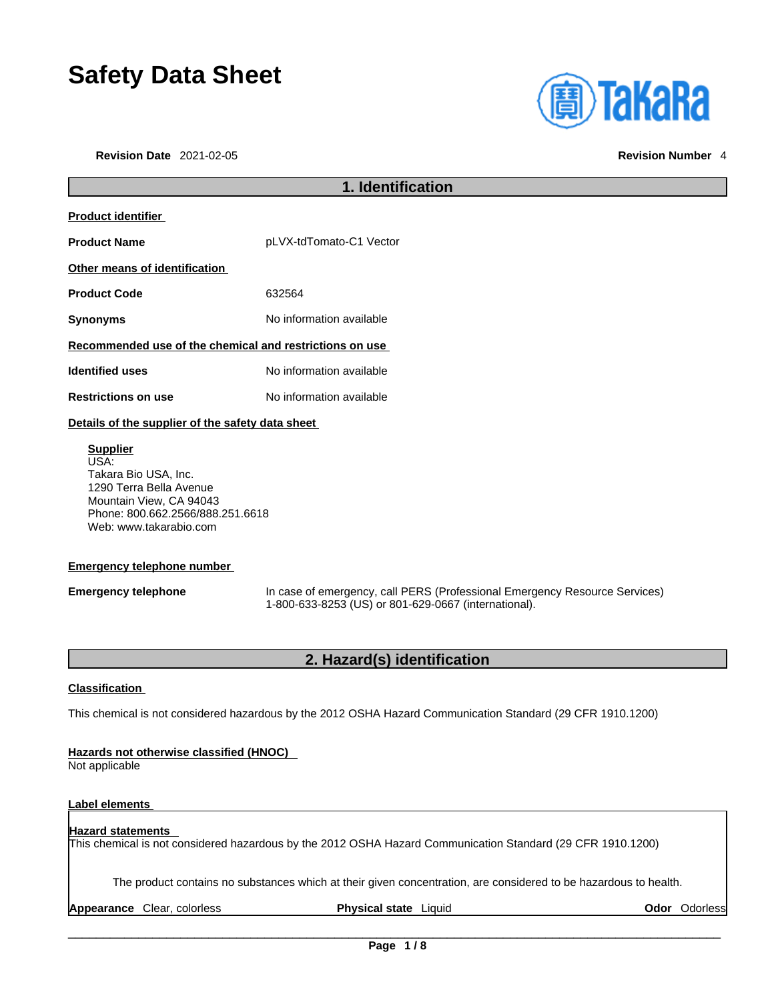# **Safety Data Sheet**

**Revision Date** 2021-02-05 **Revision Number** 4



## **1. Identification Product identifier Product Name** pLVX-tdTomato-C1 Vector **Other means of identification Product Code** 632564 **Synonyms** No information available **Recommended use of the chemical and restrictions on use Identified uses** No information available **Restrictions on use** No information available **Details of the supplier of the safety data sheet Supplier** USA: Takara Bio USA, Inc.

1290 Terra Bella Avenue Mountain View, CA 94043 Phone: 800.662.2566/888.251.6618 Web: www.takarabio.com

### **Emergency telephone number**

**Emergency telephone** In case of emergency, call PERS (Professional Emergency Resource Services) 1-800-633-8253 (US) or 801-629-0667 (international).

### **2. Hazard(s) identification**

### **Classification**

This chemical is not considered hazardous by the 2012 OSHA Hazard Communication Standard (29 CFR 1910.1200)

### **Hazards not otherwise classified (HNOC)**

Not applicable

### **Label elements**

### **Hazard statements**  This chemical is not considered hazardous by the 2012 OSHA Hazard Communication Standard (29 CFR 1910.1200)

The product contains no substances which at their given concentration, are considered to be hazardous to health.

**Appearance** Clear, colorless **Physical state** Liquid **Odor** Odorless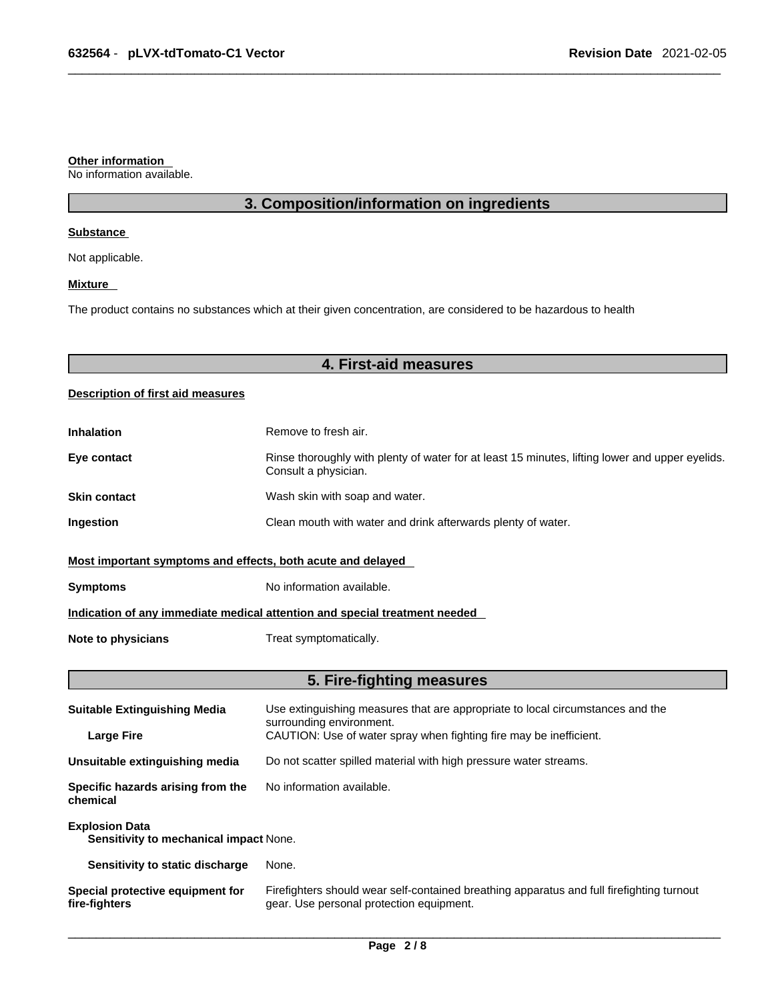#### **Other information**

No information available.

### **3. Composition/information on ingredients**

#### **Substance**

Not applicable.

### **Mixture**

The product contains no substances which at their given concentration, are considered to be hazardous to health

### **4. First-aid measures**

### **Description of first aid measures**

| <b>Inhalation</b>                                                          | Remove to fresh air.                                                                                                    |  |
|----------------------------------------------------------------------------|-------------------------------------------------------------------------------------------------------------------------|--|
| Eye contact                                                                | Rinse thoroughly with plenty of water for at least 15 minutes, lifting lower and upper eyelids.<br>Consult a physician. |  |
| <b>Skin contact</b>                                                        | Wash skin with soap and water.                                                                                          |  |
| Ingestion                                                                  | Clean mouth with water and drink afterwards plenty of water.                                                            |  |
| Most important symptoms and effects, both acute and delayed                |                                                                                                                         |  |
| <b>Symptoms</b>                                                            | No information available.                                                                                               |  |
| Indication of any immediate medical attention and special treatment needed |                                                                                                                         |  |
| Note to physicians                                                         | Treat symptomatically.                                                                                                  |  |

### **5. Fire-fighting measures**

| <b>Suitable Extinguishing Media</b>                             | Use extinguishing measures that are appropriate to local circumstances and the<br>surrounding environment.                            |  |
|-----------------------------------------------------------------|---------------------------------------------------------------------------------------------------------------------------------------|--|
| <b>Large Fire</b>                                               | CAUTION: Use of water spray when fighting fire may be inefficient.                                                                    |  |
| Unsuitable extinguishing media                                  | Do not scatter spilled material with high pressure water streams.                                                                     |  |
| Specific hazards arising from the<br>chemical                   | No information available.                                                                                                             |  |
| <b>Explosion Data</b><br>Sensitivity to mechanical impact None. |                                                                                                                                       |  |
| Sensitivity to static discharge                                 | None.                                                                                                                                 |  |
| Special protective equipment for<br>fire-fighters               | Firefighters should wear self-contained breathing apparatus and full firefighting turnout<br>gear. Use personal protection equipment. |  |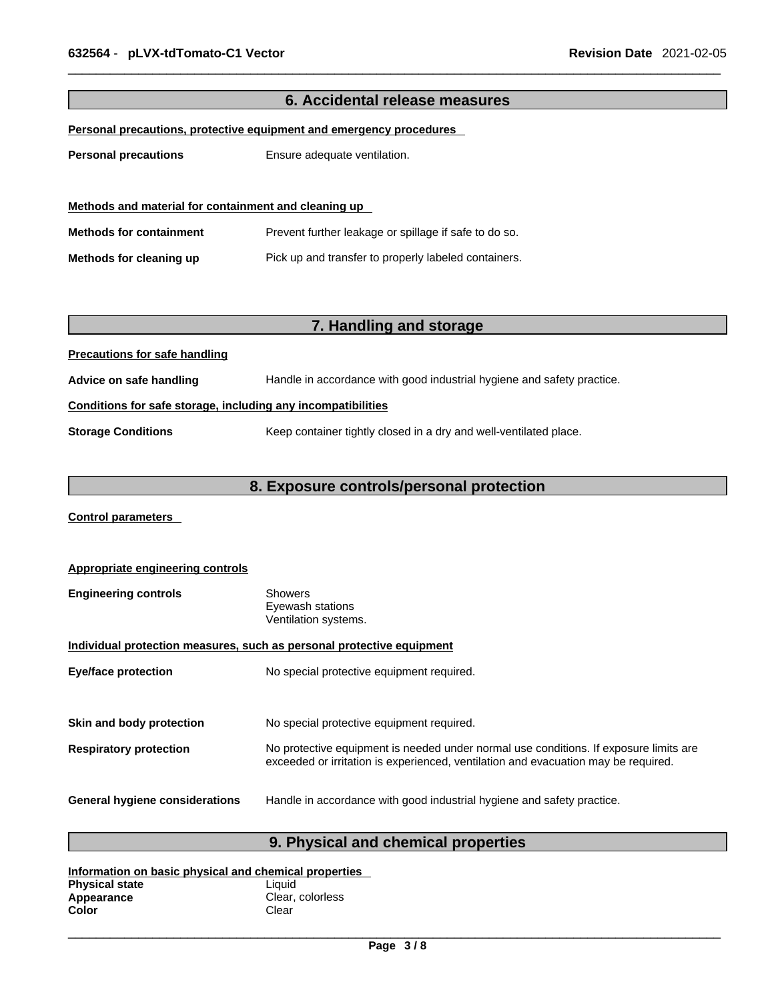| 6. Accidental release measures                               |                                                                        |  |
|--------------------------------------------------------------|------------------------------------------------------------------------|--|
|                                                              | Personal precautions, protective equipment and emergency procedures    |  |
|                                                              |                                                                        |  |
| <b>Personal precautions</b>                                  | Ensure adequate ventilation.                                           |  |
|                                                              |                                                                        |  |
| Methods and material for containment and cleaning up         |                                                                        |  |
| <b>Methods for containment</b>                               | Prevent further leakage or spillage if safe to do so.                  |  |
| Methods for cleaning up                                      | Pick up and transfer to properly labeled containers.                   |  |
|                                                              |                                                                        |  |
|                                                              |                                                                        |  |
|                                                              | 7. Handling and storage                                                |  |
| <b>Precautions for safe handling</b>                         |                                                                        |  |
| Advice on safe handling                                      | Handle in accordance with good industrial hygiene and safety practice. |  |
| Conditions for safe storage, including any incompatibilities |                                                                        |  |
| <b>Storage Conditions</b>                                    | Keep container tightly closed in a dry and well-ventilated place.      |  |
|                                                              |                                                                        |  |
| 8. Exposure controls/personal protection                     |                                                                        |  |

**Control parameters** 

| <b>Appropriate engineering controls</b>                               |                                                                                                                                                                             |  |
|-----------------------------------------------------------------------|-----------------------------------------------------------------------------------------------------------------------------------------------------------------------------|--|
| <b>Engineering controls</b>                                           | Showers<br>Eyewash stations<br>Ventilation systems.                                                                                                                         |  |
| Individual protection measures, such as personal protective equipment |                                                                                                                                                                             |  |
| <b>Eye/face protection</b>                                            | No special protective equipment required.                                                                                                                                   |  |
|                                                                       |                                                                                                                                                                             |  |
| Skin and body protection                                              | No special protective equipment required.                                                                                                                                   |  |
| <b>Respiratory protection</b>                                         | No protective equipment is needed under normal use conditions. If exposure limits are<br>exceeded or irritation is experienced, ventilation and evacuation may be required. |  |
| <b>General hygiene considerations</b>                                 | Handle in accordance with good industrial hygiene and safety practice.                                                                                                      |  |

### **9. Physical and chemical properties**

| Information on basic physical and chemical properties |                  |  |
|-------------------------------------------------------|------------------|--|
| <b>Physical state</b>                                 | Liauid           |  |
| Appearance                                            | Clear, colorless |  |
| Color                                                 | Clear            |  |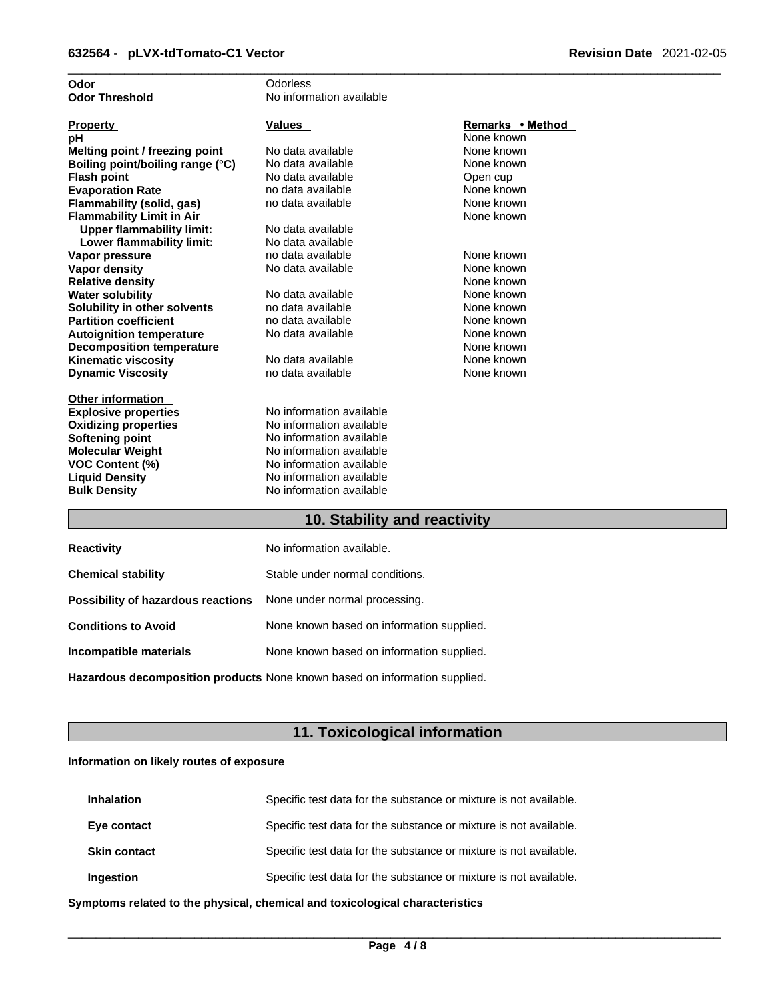| Odor                             | Odorless                 |                  |
|----------------------------------|--------------------------|------------------|
| <b>Odor Threshold</b>            | No information available |                  |
|                                  |                          |                  |
| <b>Property</b>                  | <b>Values</b>            | Remarks • Method |
| рH                               |                          | None known       |
| Melting point / freezing point   | No data available        | None known       |
| Boiling point/boiling range (°C) | No data available        | None known       |
| <b>Flash point</b>               | No data available        | Open cup         |
| <b>Evaporation Rate</b>          | no data available        | None known       |
| Flammability (solid, gas)        | no data available        | None known       |
| <b>Flammability Limit in Air</b> |                          | None known       |
| <b>Upper flammability limit:</b> | No data available        |                  |
| Lower flammability limit:        | No data available        |                  |
| Vapor pressure                   | no data available        | None known       |
| <b>Vapor density</b>             | No data available        | None known       |
| <b>Relative density</b>          |                          | None known       |
| <b>Water solubility</b>          | No data available        | None known       |
| Solubility in other solvents     | no data available        | None known       |
| <b>Partition coefficient</b>     | no data available        | None known       |
| <b>Autoignition temperature</b>  | No data available        | None known       |
| <b>Decomposition temperature</b> |                          | None known       |
| <b>Kinematic viscosity</b>       | No data available        | None known       |
| <b>Dynamic Viscosity</b>         | no data available        | None known       |
|                                  |                          |                  |
| <b>Other information</b>         |                          |                  |
| <b>Explosive properties</b>      | No information available |                  |
| <b>Oxidizing properties</b>      | No information available |                  |
| Softening point                  | No information available |                  |
| <b>Molecular Weight</b>          | No information available |                  |
| VOC Content (%)                  | No information available |                  |
| <b>Liquid Density</b>            | No information available |                  |
| <b>Bulk Density</b>              | No information available |                  |
|                                  |                          |                  |

### **10. Stability and reactivity**

| <b>Reactivity</b>                                                       | No information available.                 |
|-------------------------------------------------------------------------|-------------------------------------------|
| <b>Chemical stability</b>                                               | Stable under normal conditions.           |
| <b>Possibility of hazardous reactions</b> None under normal processing. |                                           |
| <b>Conditions to Avoid</b>                                              | None known based on information supplied. |
| Incompatible materials                                                  | None known based on information supplied. |
|                                                                         |                                           |

**Hazardous decomposition products** None known based on information supplied.

### **11. Toxicological information**

### **Information on likely routes of exposure**

| <b>Inhalation</b>   | Specific test data for the substance or mixture is not available. |
|---------------------|-------------------------------------------------------------------|
| Eye contact         | Specific test data for the substance or mixture is not available. |
| <b>Skin contact</b> | Specific test data for the substance or mixture is not available. |
| Ingestion           | Specific test data for the substance or mixture is not available. |

**<u>Symptoms related to the physical, chemical and toxicological characteristics</u>**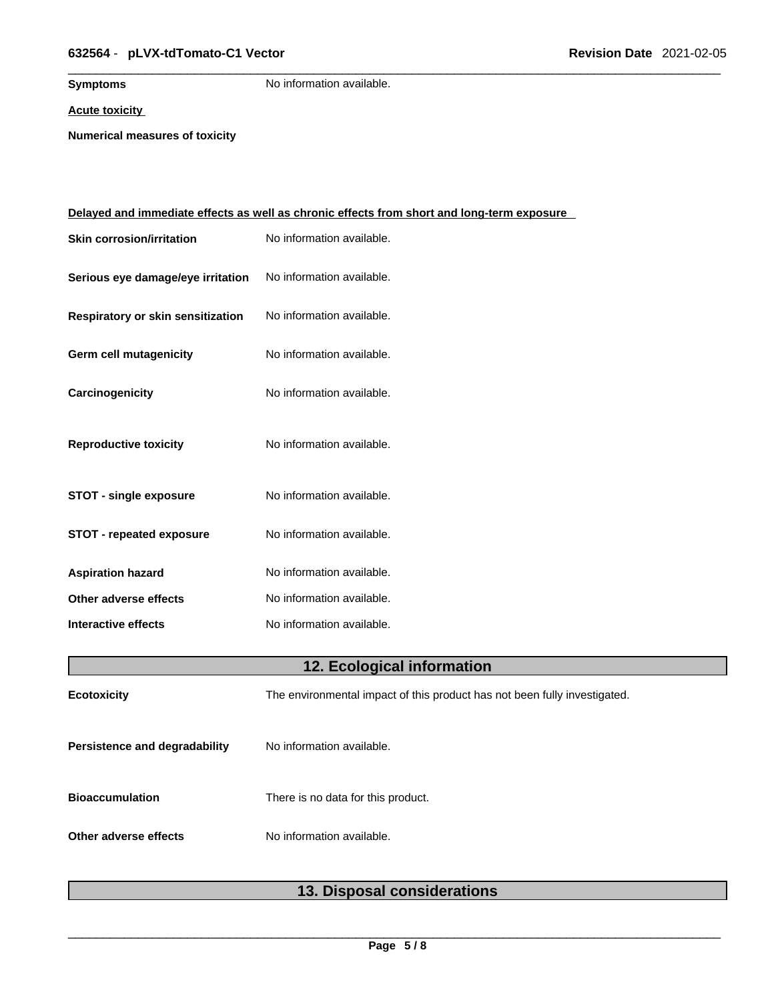### \_\_\_\_\_\_\_\_\_\_\_\_\_\_\_\_\_\_\_\_\_\_\_\_\_\_\_\_\_\_\_\_\_\_\_\_\_\_\_\_\_\_\_\_\_\_\_\_\_\_\_\_\_\_\_\_\_\_\_\_\_\_\_\_\_\_\_\_\_\_\_\_\_\_\_\_\_\_\_\_\_\_\_\_\_\_\_\_\_\_\_\_\_ **632564** - **pLVX-tdTomato-C1 Vector Revision Date** 2021-02-05

**Symptoms** No information available.

**Acute toxicity**

**Numerical measures of toxicity**

|                                   | <u>Delayed and immediate effects as well as chronic effects from short and long-term exposure</u> |
|-----------------------------------|---------------------------------------------------------------------------------------------------|
| <b>Skin corrosion/irritation</b>  | No information available.                                                                         |
| Serious eye damage/eye irritation | No information available.                                                                         |
| Respiratory or skin sensitization | No information available.                                                                         |
| Germ cell mutagenicity            | No information available.                                                                         |
| Carcinogenicity                   | No information available.                                                                         |
| <b>Reproductive toxicity</b>      | No information available.                                                                         |
| <b>STOT - single exposure</b>     | No information available.                                                                         |
| <b>STOT - repeated exposure</b>   | No information available.                                                                         |
| <b>Aspiration hazard</b>          | No information available.                                                                         |
| Other adverse effects             | No information available.                                                                         |
| Interactive effects               | No information available.                                                                         |
|                                   | 12. Ecological information                                                                        |
| <b>Ecotoxicity</b>                | The environmental impact of this product has not been fully investigated.                         |
| Persistence and degradability     | No information available.                                                                         |
| <b>Bioaccumulation</b>            | There is no data for this product.                                                                |
| Other adverse effects             | No information available.                                                                         |
|                                   |                                                                                                   |

### **13. Disposal considerations**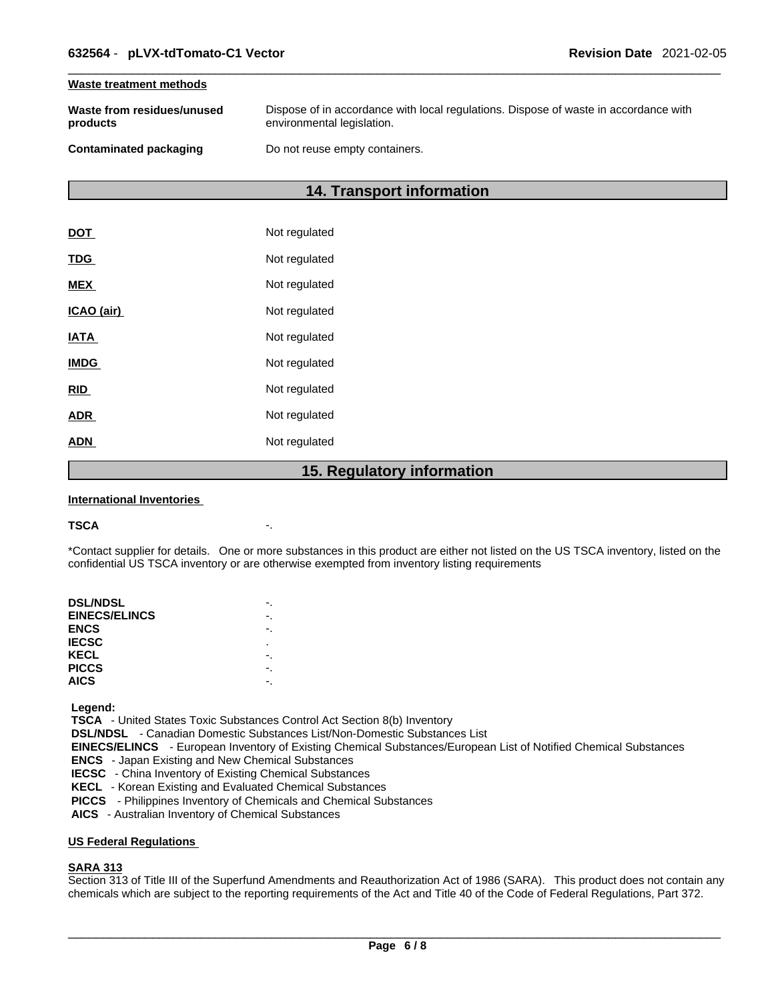#### **Waste treatment methods**

| Waste from residues/unused    | Dispose of in accordance with local regulations. Dispose of waste in accordance with |
|-------------------------------|--------------------------------------------------------------------------------------|
| products                      | environmental legislation.                                                           |
| <b>Contaminated packaging</b> | Do not reuse empty containers.                                                       |

### **14. Transport information**

|             | 1 F<br><b>Dogulator</b> |
|-------------|-------------------------|
| <b>ADN</b>  | Not regulated           |
| <b>ADR</b>  | Not regulated           |
| <b>RID</b>  | Not regulated           |
| <b>IMDG</b> | Not regulated           |
| <b>IATA</b> | Not regulated           |
| ICAO (air)  | Not regulated           |
| <b>MEX</b>  | Not regulated           |
| <b>TDG</b>  | Not regulated           |
| <b>DOT</b>  | Not regulated           |

### **15. Regulatory information**

#### **International Inventories**

#### **TSCA** -.

\*Contact supplier for details. One or more substances in this product are either not listed on the US TSCA inventory, listed on the confidential US TSCA inventory or are otherwise exempted from inventory listing requirements

| <b>DSL/NDSL</b>      |   |
|----------------------|---|
| <b>EINECS/ELINCS</b> |   |
| <b>ENCS</b>          |   |
| <b>IECSC</b>         | ٠ |
| KECL                 |   |
| <b>PICCS</b>         |   |
| <b>AICS</b>          |   |
|                      |   |

 **Legend:** 

 **TSCA** - United States Toxic Substances Control Act Section 8(b) Inventory

 **DSL/NDSL** - Canadian Domestic Substances List/Non-Domestic Substances List

 **EINECS/ELINCS** - European Inventory of Existing Chemical Substances/European List of Notified Chemical Substances

 **ENCS** - Japan Existing and New Chemical Substances

 **IECSC** - China Inventory of Existing Chemical Substances

 **KECL** - Korean Existing and Evaluated Chemical Substances

 **PICCS** - Philippines Inventory of Chemicals and Chemical Substances

 **AICS** - Australian Inventory of Chemical Substances

#### **US Federal Regulations**

#### **SARA 313**

Section 313 of Title III of the Superfund Amendments and Reauthorization Act of 1986 (SARA). This product does not contain any chemicals which are subject to the reporting requirements of the Act and Title 40 of the Code of Federal Regulations, Part 372.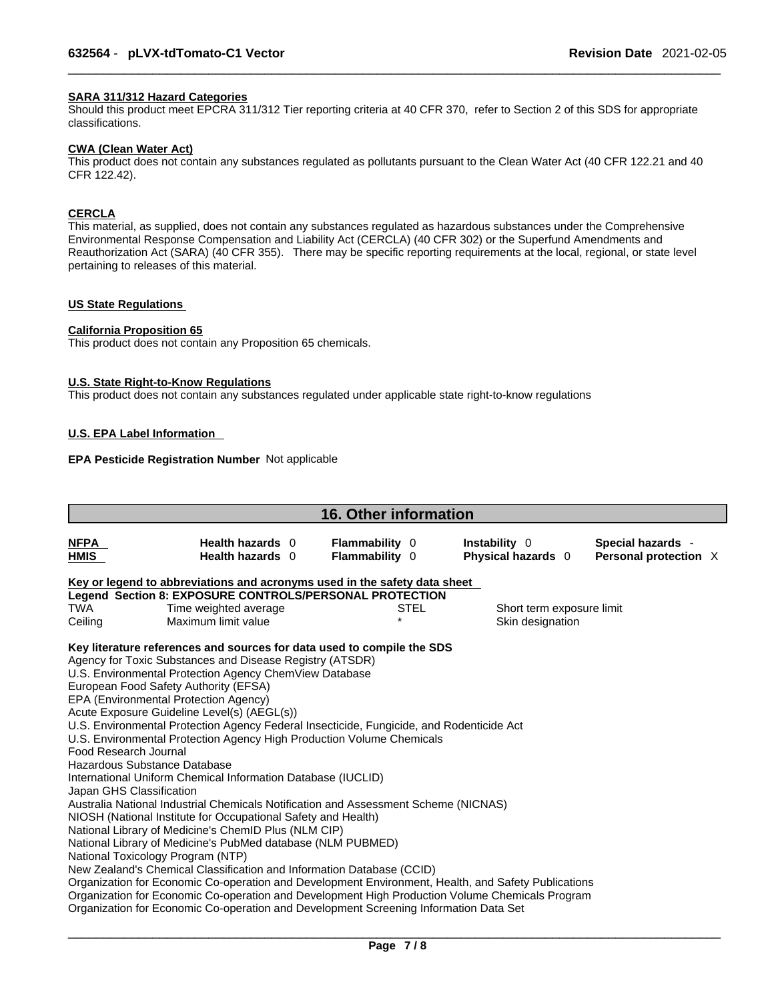### **SARA 311/312 Hazard Categories**

Should this product meet EPCRA 311/312 Tier reporting criteria at 40 CFR 370, refer to Section 2 of this SDS for appropriate classifications.

#### **CWA (Clean WaterAct)**

This product does not contain any substances regulated as pollutants pursuant to the Clean Water Act (40 CFR 122.21 and 40 CFR 122.42).

### **CERCLA**

This material, as supplied, does not contain any substances regulated as hazardous substances under the Comprehensive Environmental Response Compensation and Liability Act (CERCLA) (40 CFR 302) or the Superfund Amendments and Reauthorization Act (SARA) (40 CFR 355). There may be specific reporting requirements at the local, regional, or state level pertaining to releases of this material.

### **US State Regulations**

#### **California Proposition 65**

This product does not contain any Proposition 65 chemicals.

#### **U.S. State Right-to-Know Regulations**

This product does not contain any substances regulated under applicable state right-to-know regulations

### **U.S. EPA Label Information**

### **EPA Pesticide Registration Number** Not applicable